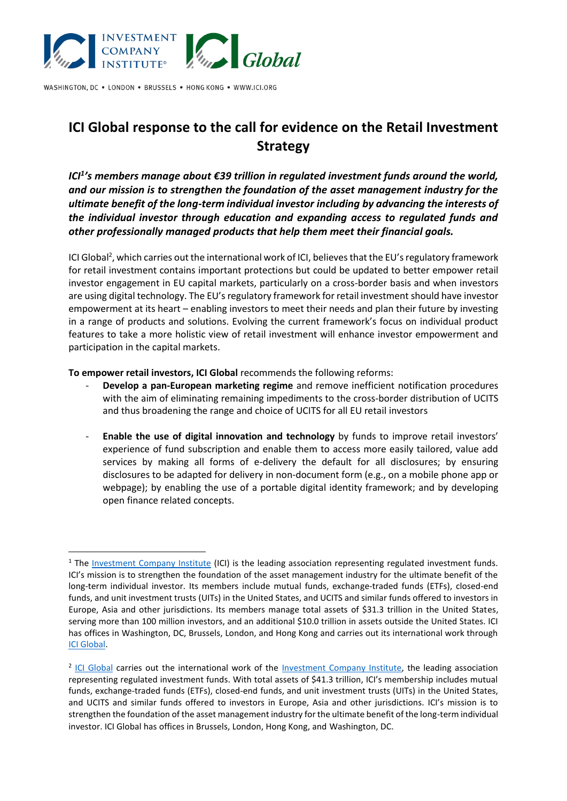

WASHINGTON, DC . LONDON . BRUSSELS . HONG KONG . WWW.ICI.ORG

# **ICI Global response to the call for evidence on the Retail Investment Strategy**

*ICI<sup>1</sup> 's members manage about €39 trillion in regulated investment funds around the world, and our mission is to strengthen the foundation of the asset management industry for the ultimate benefit of the long-term individual investor including by advancing the interests of the individual investor through education and expanding access to regulated funds and other professionally managed products that help them meet their financial goals.*

ICI Global<sup>2</sup>, which carries out the international work of ICI, believes that the EU's regulatory framework for retail investment contains important protections but could be updated to better empower retail investor engagement in EU capital markets, particularly on a cross-border basis and when investors are using digital technology. The EU's regulatory framework for retail investment should have investor empowerment at its heart – enabling investors to meet their needs and plan their future by investing in a range of products and solutions. Evolving the current framework's focus on individual product features to take a more holistic view of retail investment will enhance investor empowerment and participation in the capital markets.

**To empower retail investors, ICI Global** recommends the following reforms:

- **Develop a pan-European marketing regime** and remove inefficient notification procedures with the aim of eliminating remaining impediments to the cross-border distribution of UCITS and thus broadening the range and choice of UCITS for all EU retail investors
- **Enable the use of digital innovation and technology** by funds to improve retail investors' experience of fund subscription and enable them to access more easily tailored, value add services by making all forms of e-delivery the default for all disclosures; by ensuring disclosures to be adapted for delivery in non-document form (e.g., on a mobile phone app or webpage); by enabling the use of a portable digital identity framework; and by developing open finance related concepts.

<sup>&</sup>lt;sup>1</sup> The [Investment Company Institute](https://www.ici.org/) (ICI) is the leading association representing regulated investment funds. ICI's mission is to strengthen the foundation of the asset management industry for the ultimate benefit of the long-term individual investor. Its members include mutual funds, exchange-traded funds (ETFs), closed-end funds, and unit investment trusts (UITs) in the United States, and UCITS and similar funds offered to investors in Europe, Asia and other jurisdictions. Its members manage total assets of \$31.3 trillion in the United States, serving more than 100 million investors, and an additional \$10.0 trillion in assets outside the United States. ICI has offices in Washington, DC, Brussels, London, and Hong Kong and carries out its international work through [ICI Global.](https://www.ici.org/iciglobal)

<sup>&</sup>lt;sup>2</sup> [ICI Global](https://www.ici.org/iciglobal) carries out the international work of the **Investment Company Institute**, the leading association representing regulated investment funds. With total assets of \$41.3 trillion, ICI's membership includes mutual funds, exchange-traded funds (ETFs), closed-end funds, and unit investment trusts (UITs) in the United States, and UCITS and similar funds offered to investors in Europe, Asia and other jurisdictions. ICI's mission is to strengthen the foundation of the asset management industry for the ultimate benefit of the long-term individual investor. ICI Global has offices in Brussels, London, Hong Kong, and Washington, DC.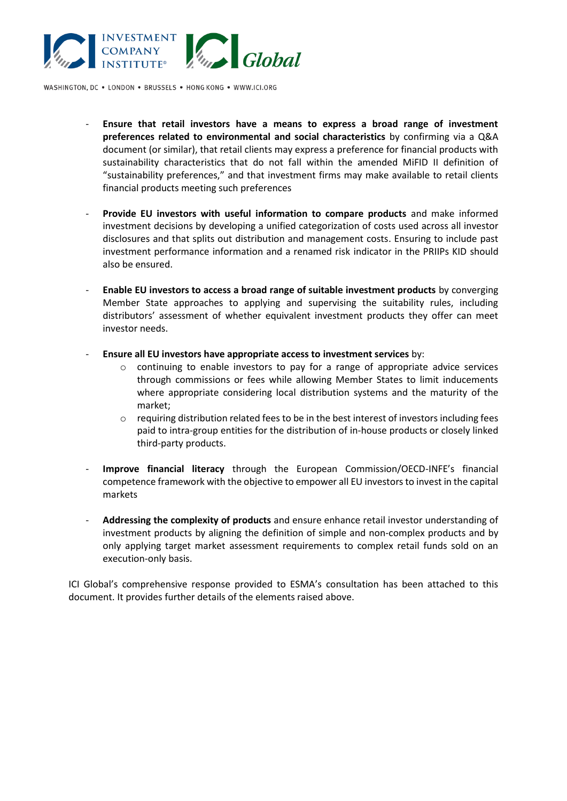

WASHINGTON, DC . LONDON . BRUSSELS . HONG KONG . WWW.ICI.ORG

- **Ensure that retail investors have a means to express a broad range of investment preferences related to environmental and social characteristics** by confirming via a Q&A document (or similar), that retail clients may express a preference for financial products with sustainability characteristics that do not fall within the amended MiFID II definition of "sustainability preferences," and that investment firms may make available to retail clients financial products meeting such preferences
- **Provide EU investors with useful information to compare products** and make informed investment decisions by developing a unified categorization of costs used across all investor disclosures and that splits out distribution and management costs. Ensuring to include past investment performance information and a renamed risk indicator in the PRIIPs KID should also be ensured.
- **Enable EU investors to access a broad range of suitable investment products** by converging Member State approaches to applying and supervising the suitability rules, including distributors' assessment of whether equivalent investment products they offer can meet investor needs.
- **Ensure all EU investors have appropriate access to investment services** by:
	- $\circ$  continuing to enable investors to pay for a range of appropriate advice services through commissions or fees while allowing Member States to limit inducements where appropriate considering local distribution systems and the maturity of the market;
	- $\circ$  requiring distribution related fees to be in the best interest of investors including fees paid to intra-group entities for the distribution of in-house products or closely linked third-party products.
- **Improve financial literacy** through the European Commission/OECD-INFE's financial competence framework with the objective to empower all EU investors to invest in the capital markets
- **Addressing the complexity of products** and ensure enhance retail investor understanding of investment products by aligning the definition of simple and non-complex products and by only applying target market assessment requirements to complex retail funds sold on an execution-only basis.

ICI Global's comprehensive response provided to ESMA's consultation has been attached to this document. It provides further details of the elements raised above.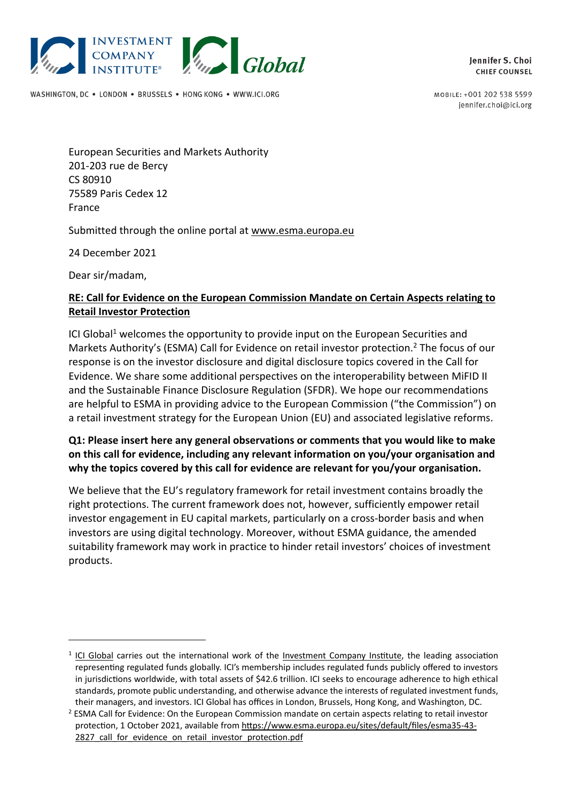

WASHINGTON, DC . LONDON . BRUSSELS . HONG KONG . WWW.ICI.ORG

Jennifer S. Choi **CHIEF COUNSEL** 

MOBILE: +001 202 538 5599 jennifer.choi@ici.org

European Securities and Markets Authority 201-203 rue de Bercy CS 80910 75589 Paris Cedex 12 France

Submitted through the online portal at www.esma.europa.eu

24 December 2021

Dear sir/madam,

#### **RE: Call for Evidence on the European Commission Mandate on Certain Aspects relating to Retail Investor Protection**

ICI Global<sup>1</sup> welcomes the opportunity to provide input on the European Securities and Markets Authority's (ESMA) Call for Evidence on retail investor protection. <sup>2</sup> The focus of our response is on the investor disclosure and digital disclosure topics covered in the Call for Evidence. We share some additional perspectives on the interoperability between MiFID II and the Sustainable Finance Disclosure Regulation (SFDR). We hope our recommendations are helpful to ESMA in providing advice to the European Commission ("the Commission") on a retail investment strategy for the European Union (EU) and associated legislative reforms.

#### **Q1: Please insert here any general observations or comments that you would like to make on this call for evidence, including any relevant information on you/your organisation and why the topics covered by this call for evidence are relevant for you/your organisation.**

We believe that the EU's regulatory framework for retail investment contains broadly the right protections. The current framework does not, however, sufficiently empower retail investor engagement in EU capital markets, particularly on a cross-border basis and when investors are using digital technology. Moreover, without ESMA guidance, the amended suitability framework may work in practice to hinder retail investors' choices of investment products.

<sup>&</sup>lt;sup>1</sup> ICI Global carries out the international work of the Investment Company Institute, the leading association representing regulated funds globally. ICI's membership includes regulated funds publicly offered to investors in jurisdictions worldwide, with total assets of \$42.6 trillion. ICI seeks to encourage adherence to high ethical standards, promote public understanding, and otherwise advance the interests of regulated investment funds, their managers, and investors. ICI Global has offices in London, Brussels, Hong Kong, and Washington, DC.

<sup>&</sup>lt;sup>2</sup> ESMA Call for Evidence: On the European Commission mandate on certain aspects relating to retail investor protection, 1 October 2021, available from https://www.esma.europa.eu/sites/default/files/esma35-43- 2827 call for evidence on retail investor protection.pdf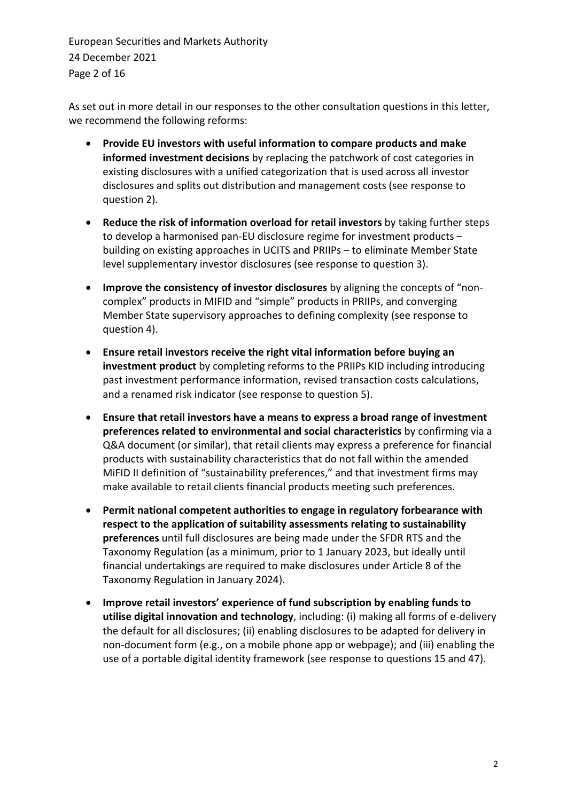European Securities and Markets Authority 24 December 2021 Page 2 of 16

As set out in more detail in our responses to the other consultation questions in this letter, we recommend the following reforms:

- **Provide EU investors with useful information to compare products and make informed investment decisions** by replacing the patchwork of cost categories in existing disclosures with a unified categorization that is used across all investor disclosures and splits out distribution and management costs (see response to question 2).
- **Reduce the risk of information overload for retail investors** by taking further steps to develop a harmonised pan-EU disclosure regime for investment products – building on existing approaches in UCITS and PRIIPs – to eliminate Member State level supplementary investor disclosures (see response to question 3).
- **Improve the consistency of investor disclosures** by aligning the concepts of "noncomplex" products in MIFID and "simple" products in PRIIPs, and converging Member State supervisory approaches to defining complexity (see response to question 4).
- **Ensure retail investors receive the right vital information before buying an investment product** by completing reforms to the PRIIPs KID including introducing past investment performance information, revised transaction costs calculations, and a renamed risk indicator (see response to question 5).
- **Ensure that retail investors have a means to express a broad range of investment preferences related to environmental and social characteristics** by confirming via a Q&A document (or similar), that retail clients may express a preference for financial products with sustainability characteristics that do not fall within the amended MiFID II definition of "sustainability preferences," and that investment firms may make available to retail clients financial products meeting such preferences.
- **Permit national competent authorities to engage in regulatory forbearance with respect to the application of suitability assessments relating to sustainability preferences** until full disclosures are being made under the SFDR RTS and the Taxonomy Regulation (as a minimum, prior to 1 January 2023, but ideally until financial undertakings are required to make disclosures under Article 8 of the Taxonomy Regulation in January 2024).
- **Improve retail investors' experience of fund subscription by enabling funds to utilise digital innovation and technology**, including: (i) making all forms of e-delivery the default for all disclosures; (ii) enabling disclosures to be adapted for delivery in non-document form (e.g., on a mobile phone app or webpage); and (iii) enabling the use of a portable digital identity framework (see response to questions 15 and 47).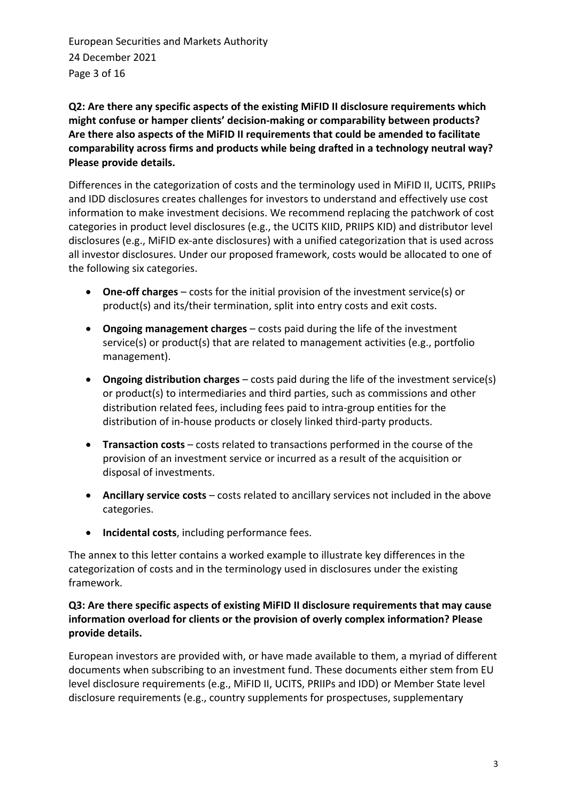European Securities and Markets Authority 24 December 2021 Page 3 of 16

**Q2: Are there any specific aspects of the existing MiFID II disclosure requirements which might confuse or hamper clients' decision-making or comparability between products? Are there also aspects of the MiFID II requirements that could be amended to facilitate comparability across firms and products while being drafted in a technology neutral way? Please provide details.**

Differences in the categorization of costs and the terminology used in MiFID II, UCITS, PRIIPs and IDD disclosures creates challenges for investors to understand and effectively use cost information to make investment decisions. We recommend replacing the patchwork of cost categories in product level disclosures (e.g., the UCITS KIID, PRIIPS KID) and distributor level disclosures (e.g., MiFID ex-ante disclosures) with a unified categorization that is used across all investor disclosures. Under our proposed framework, costs would be allocated to one of the following six categories.

- **One-off charges** costs for the initial provision of the investment service(s) or product(s) and its/their termination, split into entry costs and exit costs.
- **Ongoing management charges** costs paid during the life of the investment service(s) or product(s) that are related to management activities (e.g., portfolio management).
- **Ongoing distribution charges** costs paid during the life of the investment service(s) or product(s) to intermediaries and third parties, such as commissions and other distribution related fees, including fees paid to intra-group entities for the distribution of in-house products or closely linked third-party products.
- **Transaction costs** costs related to transactions performed in the course of the provision of an investment service or incurred as a result of the acquisition or disposal of investments.
- **Ancillary service costs** costs related to ancillary services not included in the above categories.
- **Incidental costs**, including performance fees.

The annex to this letter contains a worked example to illustrate key differences in the categorization of costs and in the terminology used in disclosures under the existing framework.

## **Q3: Are there specific aspects of existing MiFID II disclosure requirements that may cause information overload for clients or the provision of overly complex information? Please provide details.**

European investors are provided with, or have made available to them, a myriad of different documents when subscribing to an investment fund. These documents either stem from EU level disclosure requirements (e.g., MiFID II, UCITS, PRIIPs and IDD) or Member State level disclosure requirements (e.g., country supplements for prospectuses, supplementary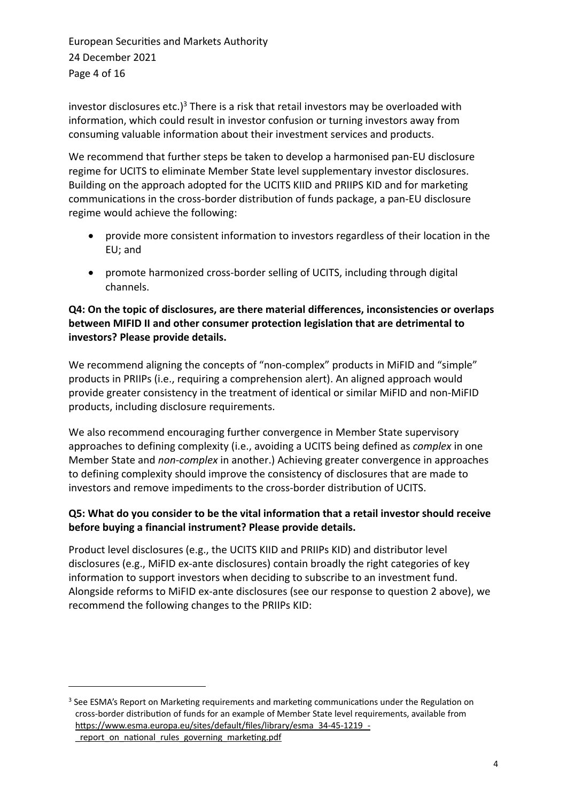European Securities and Markets Authority 24 December 2021 Page 4 of 16

investor disclosures etc.)<sup>3</sup> There is a risk that retail investors may be overloaded with information, which could result in investor confusion or turning investors away from consuming valuable information about their investment services and products.

We recommend that further steps be taken to develop a harmonised pan-EU disclosure regime for UCITS to eliminate Member State level supplementary investor disclosures. Building on the approach adopted for the UCITS KIID and PRIIPS KID and for marketing communications in the cross-border distribution of funds package, a pan-EU disclosure regime would achieve the following:

- provide more consistent information to investors regardless of their location in the EU; and
- promote harmonized cross-border selling of UCITS, including through digital channels.

## **Q4: On the topic of disclosures, are there material differences, inconsistencies or overlaps between MIFID II and other consumer protection legislation that are detrimental to investors? Please provide details.**

We recommend aligning the concepts of "non-complex" products in MiFID and "simple" products in PRIIPs (i.e., requiring a comprehension alert). An aligned approach would provide greater consistency in the treatment of identical or similar MiFID and non-MiFID products, including disclosure requirements.

We also recommend encouraging further convergence in Member State supervisory approaches to defining complexity (i.e., avoiding a UCITS being defined as *complex* in one Member State and *non-complex* in another.) Achieving greater convergence in approaches to defining complexity should improve the consistency of disclosures that are made to investors and remove impediments to the cross-border distribution of UCITS.

## **Q5: What do you consider to be the vital information that a retail investor should receive before buying a financial instrument? Please provide details.**

Product level disclosures (e.g., the UCITS KIID and PRIIPs KID) and distributor level disclosures (e.g., MiFID ex-ante disclosures) contain broadly the right categories of key information to support investors when deciding to subscribe to an investment fund. Alongside reforms to MiFID ex-ante disclosures (see our response to question 2 above), we recommend the following changes to the PRIIPs KID:

<sup>&</sup>lt;sup>3</sup> See ESMA's Report on Marketing requirements and marketing communications under the Regulation on cross-border distribution of funds for an example of Member State level requirements, available from https://www.esma.europa.eu/sites/default/files/library/esma\_34-45-1219\_- \_report\_on\_national\_rules\_governing\_marketing.pdf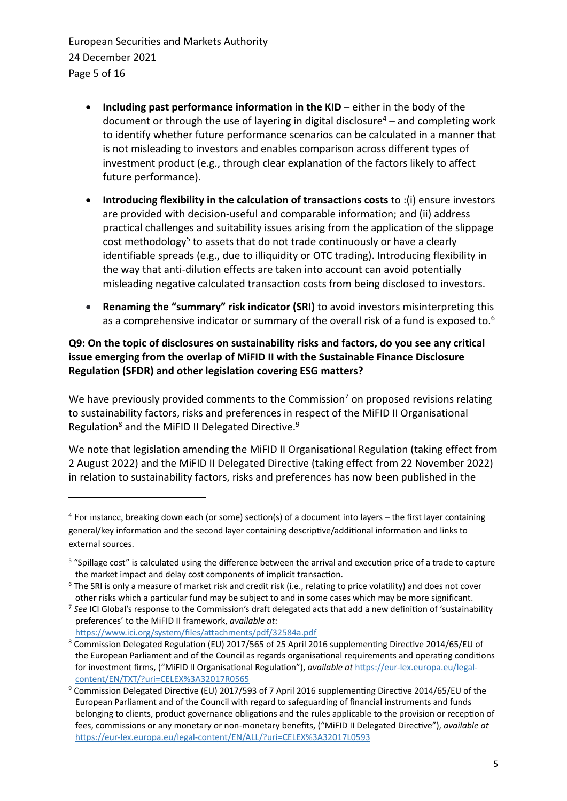European Securities and Markets Authority 24 December 2021 Page 5 of 16

- **Including past performance information in the KID** either in the body of the document or through the use of layering in digital disclosure<sup>4</sup> – and completing work to identify whether future performance scenarios can be calculated in a manner that is not misleading to investors and enables comparison across different types of investment product (e.g., through clear explanation of the factors likely to affect future performance).
- **Introducing flexibility in the calculation of transactions costs** to :(i) ensure investors are provided with decision-useful and comparable information; and (ii) address practical challenges and suitability issues arising from the application of the slippage cost methodology<sup>5</sup> to assets that do not trade continuously or have a clearly identifiable spreads (e.g., due to illiquidity or OTC trading). Introducing flexibility in the way that anti-dilution effects are taken into account can avoid potentially misleading negative calculated transaction costs from being disclosed to investors.
- **Renaming the "summary" risk indicator (SRI)** to avoid investors misinterpreting this as a comprehensive indicator or summary of the overall risk of a fund is exposed to.<sup>6</sup>

## **Q9: On the topic of disclosures on sustainability risks and factors, do you see any critical issue emerging from the overlap of MiFID II with the Sustainable Finance Disclosure Regulation (SFDR) and other legislation covering ESG matters?**

We have previously provided comments to the Commission<sup>7</sup> on proposed revisions relating to sustainability factors, risks and preferences in respect of the MiFID II Organisational Regulation<sup>8</sup> and the MiFID II Delegated Directive.<sup>9</sup>

We note that legislation amending the MiFID II Organisational Regulation (taking effect from 2 August 2022) and the MiFID II Delegated Directive (taking effect from 22 November 2022) in relation to sustainability factors, risks and preferences has now been published in the

7 *See* ICI Global's response to the Commission's draft delegated acts that add a new definition of 'sustainability preferences' to the MiFID II framework, *available at*:

<sup>4</sup> For instance, breaking down each (or some) section(s) of a document into layers – the first layer containing general/key information and the second layer containing descriptive/additional information and links to external sources.

<sup>&</sup>lt;sup>5</sup> "Spillage cost" is calculated using the difference between the arrival and execution price of a trade to capture the market impact and delay cost components of implicit transaction.

<sup>&</sup>lt;sup>6</sup> The SRI is only a measure of market risk and credit risk (i.e., relating to price volatility) and does not cover other risks which a particular fund may be subject to and in some cases which may be more significant.

https://www.ici.org/system/files/attachments/pdf/32584a.pdf

<sup>8</sup> Commission Delegated Regulation (EU) 2017/565 of 25 April 2016 supplementing Directive 2014/65/EU of the European Parliament and of the Council as regards organisational requirements and operating conditions for investment firms, ("MiFID II Organisational Regulation"), *available at* https://eur-lex.europa.eu/legalcontent/EN/TXT/?uri=CELEX%3A32017R0565

<sup>9</sup> Commission Delegated Directive (EU) 2017/593 of 7 April 2016 supplementing Directive 2014/65/EU of the European Parliament and of the Council with regard to safeguarding of financial instruments and funds belonging to clients, product governance obligations and the rules applicable to the provision or reception of fees, commissions or any monetary or non-monetary benefits, ("MiFID II Delegated Directive"), *available at* https://eur-lex.europa.eu/legal-content/EN/ALL/?uri=CELEX%3A32017L0593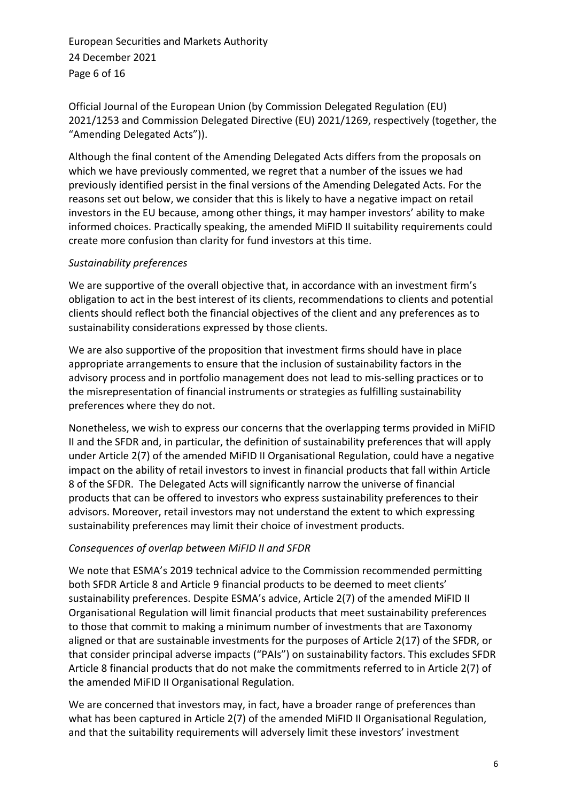European Securities and Markets Authority 24 December 2021 Page 6 of 16

Official Journal of the European Union (by Commission Delegated Regulation (EU) 2021/1253 and Commission Delegated Directive (EU) 2021/1269, respectively (together, the "Amending Delegated Acts")).

Although the final content of the Amending Delegated Acts differs from the proposals on which we have previously commented, we regret that a number of the issues we had previously identified persist in the final versions of the Amending Delegated Acts. For the reasons set out below, we consider that this is likely to have a negative impact on retail investors in the EU because, among other things, it may hamper investors' ability to make informed choices. Practically speaking, the amended MiFID II suitability requirements could create more confusion than clarity for fund investors at this time.

## *Sustainability preferences*

We are supportive of the overall objective that, in accordance with an investment firm's obligation to act in the best interest of its clients, recommendations to clients and potential clients should reflect both the financial objectives of the client and any preferences as to sustainability considerations expressed by those clients.

We are also supportive of the proposition that investment firms should have in place appropriate arrangements to ensure that the inclusion of sustainability factors in the advisory process and in portfolio management does not lead to mis-selling practices or to the misrepresentation of financial instruments or strategies as fulfilling sustainability preferences where they do not.

Nonetheless, we wish to express our concerns that the overlapping terms provided in MiFID II and the SFDR and, in particular, the definition of sustainability preferences that will apply under Article 2(7) of the amended MiFID II Organisational Regulation, could have a negative impact on the ability of retail investors to invest in financial products that fall within Article 8 of the SFDR. The Delegated Acts will significantly narrow the universe of financial products that can be offered to investors who express sustainability preferences to their advisors. Moreover, retail investors may not understand the extent to which expressing sustainability preferences may limit their choice of investment products.

## *Consequences of overlap between MiFID II and SFDR*

We note that ESMA's 2019 technical advice to the Commission recommended permitting both SFDR Article 8 and Article 9 financial products to be deemed to meet clients' sustainability preferences. Despite ESMA's advice, Article 2(7) of the amended MiFID II Organisational Regulation will limit financial products that meet sustainability preferences to those that commit to making a minimum number of investments that are Taxonomy aligned or that are sustainable investments for the purposes of Article 2(17) of the SFDR, or that consider principal adverse impacts ("PAIs") on sustainability factors. This excludes SFDR Article 8 financial products that do not make the commitments referred to in Article 2(7) of the amended MiFID II Organisational Regulation.

We are concerned that investors may, in fact, have a broader range of preferences than what has been captured in Article 2(7) of the amended MiFID II Organisational Regulation, and that the suitability requirements will adversely limit these investors' investment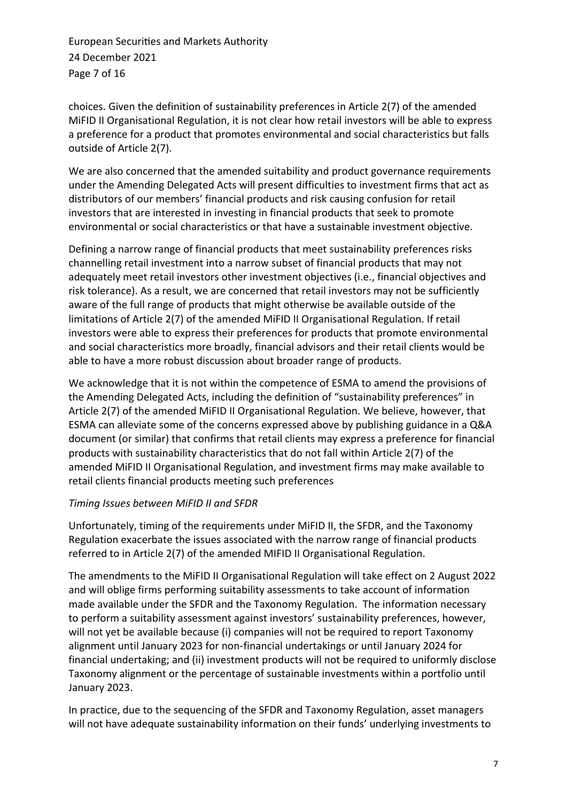European Securities and Markets Authority 24 December 2021 Page 7 of 16

choices. Given the definition of sustainability preferences in Article 2(7) of the amended MiFID II Organisational Regulation, it is not clear how retail investors will be able to express a preference for a product that promotes environmental and social characteristics but falls outside of Article 2(7).

We are also concerned that the amended suitability and product governance requirements under the Amending Delegated Acts will present difficulties to investment firms that act as distributors of our members' financial products and risk causing confusion for retail investors that are interested in investing in financial products that seek to promote environmental or social characteristics or that have a sustainable investment objective.

Defining a narrow range of financial products that meet sustainability preferences risks channelling retail investment into a narrow subset of financial products that may not adequately meet retail investors other investment objectives (i.e., financial objectives and risk tolerance). As a result, we are concerned that retail investors may not be sufficiently aware of the full range of products that might otherwise be available outside of the limitations of Article 2(7) of the amended MiFID II Organisational Regulation. If retail investors were able to express their preferences for products that promote environmental and social characteristics more broadly, financial advisors and their retail clients would be able to have a more robust discussion about broader range of products.

We acknowledge that it is not within the competence of ESMA to amend the provisions of the Amending Delegated Acts, including the definition of "sustainability preferences" in Article 2(7) of the amended MiFID II Organisational Regulation. We believe, however, that ESMA can alleviate some of the concerns expressed above by publishing guidance in a Q&A document (or similar) that confirms that retail clients may express a preference for financial products with sustainability characteristics that do not fall within Article 2(7) of the amended MiFID II Organisational Regulation, and investment firms may make available to retail clients financial products meeting such preferences

#### *Timing Issues between MiFID II and SFDR*

Unfortunately, timing of the requirements under MiFID II, the SFDR, and the Taxonomy Regulation exacerbate the issues associated with the narrow range of financial products referred to in Article 2(7) of the amended MIFID II Organisational Regulation.

The amendments to the MiFID II Organisational Regulation will take effect on 2 August 2022 and will oblige firms performing suitability assessments to take account of information made available under the SFDR and the Taxonomy Regulation. The information necessary to perform a suitability assessment against investors' sustainability preferences, however, will not yet be available because (i) companies will not be required to report Taxonomy alignment until January 2023 for non‑financial undertakings or until January 2024 for financial undertaking; and (ii) investment products will not be required to uniformly disclose Taxonomy alignment or the percentage of sustainable investments within a portfolio until January 2023.

In practice, due to the sequencing of the SFDR and Taxonomy Regulation, asset managers will not have adequate sustainability information on their funds' underlying investments to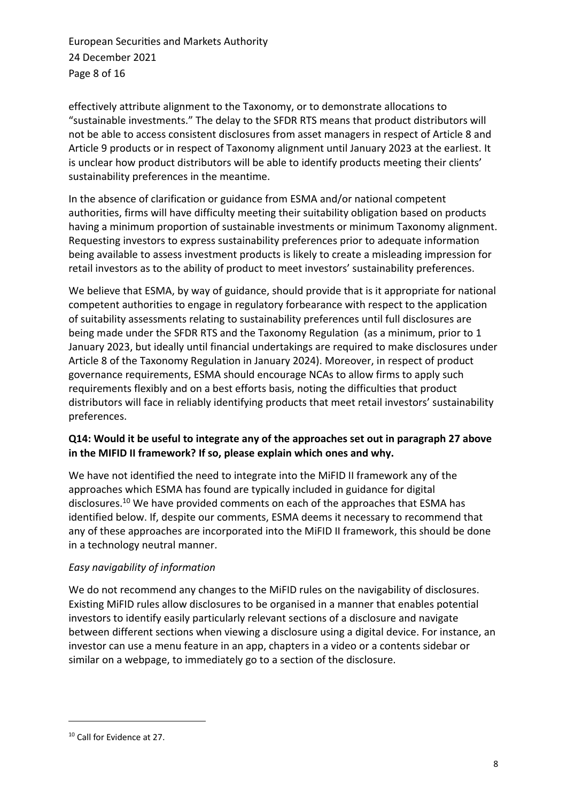European Securities and Markets Authority 24 December 2021 Page 8 of 16

effectively attribute alignment to the Taxonomy, or to demonstrate allocations to "sustainable investments." The delay to the SFDR RTS means that product distributors will not be able to access consistent disclosures from asset managers in respect of Article 8 and Article 9 products or in respect of Taxonomy alignment until January 2023 at the earliest. It is unclear how product distributors will be able to identify products meeting their clients' sustainability preferences in the meantime.

In the absence of clarification or guidance from ESMA and/or national competent authorities, firms will have difficulty meeting their suitability obligation based on products having a minimum proportion of sustainable investments or minimum Taxonomy alignment. Requesting investors to express sustainability preferences prior to adequate information being available to assess investment products is likely to create a misleading impression for retail investors as to the ability of product to meet investors' sustainability preferences.

We believe that ESMA, by way of guidance, should provide that is it appropriate for national competent authorities to engage in regulatory forbearance with respect to the application of suitability assessments relating to sustainability preferences until full disclosures are being made under the SFDR RTS and the Taxonomy Regulation (as a minimum, prior to 1 January 2023, but ideally until financial undertakings are required to make disclosures under Article 8 of the Taxonomy Regulation in January 2024). Moreover, in respect of product governance requirements, ESMA should encourage NCAs to allow firms to apply such requirements flexibly and on a best efforts basis, noting the difficulties that product distributors will face in reliably identifying products that meet retail investors' sustainability preferences.

#### **Q14: Would it be useful to integrate any of the approaches set out in paragraph 27 above in the MIFID II framework? If so, please explain which ones and why.**

We have not identified the need to integrate into the MiFID II framework any of the approaches which ESMA has found are typically included in guidance for digital disclosures.<sup>10</sup> We have provided comments on each of the approaches that ESMA has identified below. If, despite our comments, ESMA deems it necessary to recommend that any of these approaches are incorporated into the MiFID II framework, this should be done in a technology neutral manner.

## *Easy navigability of information*

We do not recommend any changes to the MiFID rules on the navigability of disclosures. Existing MiFID rules allow disclosures to be organised in a manner that enables potential investors to identify easily particularly relevant sections of a disclosure and navigate between different sections when viewing a disclosure using a digital device. For instance, an investor can use a menu feature in an app, chapters in a video or a contents sidebar or similar on a webpage, to immediately go to a section of the disclosure.

<sup>10</sup> Call for Evidence at 27.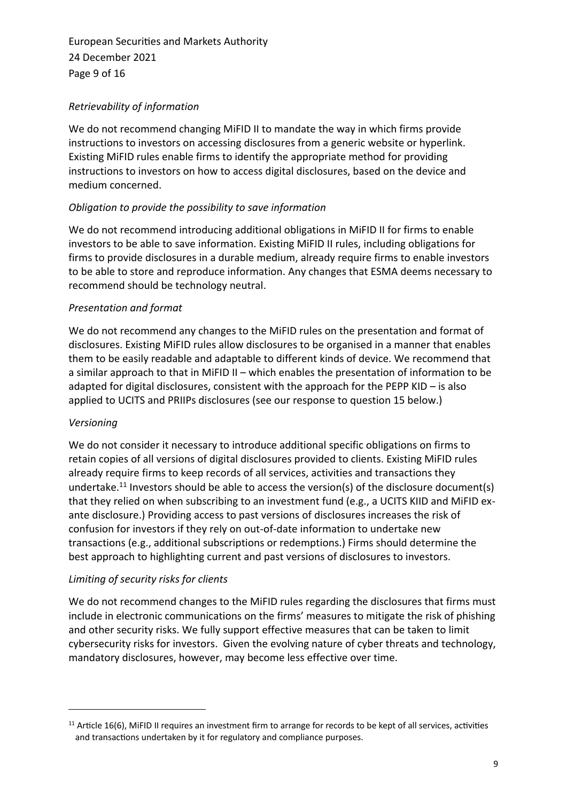European Securities and Markets Authority 24 December 2021 Page 9 of 16

## *Retrievability of information*

We do not recommend changing MiFID II to mandate the way in which firms provide instructions to investors on accessing disclosures from a generic website or hyperlink. Existing MiFID rules enable firms to identify the appropriate method for providing instructions to investors on how to access digital disclosures, based on the device and medium concerned.

#### *Obligation to provide the possibility to save information*

We do not recommend introducing additional obligations in MiFID II for firms to enable investors to be able to save information. Existing MiFID II rules, including obligations for firms to provide disclosures in a durable medium, already require firms to enable investors to be able to store and reproduce information. Any changes that ESMA deems necessary to recommend should be technology neutral.

## *Presentation and format*

We do not recommend any changes to the MiFID rules on the presentation and format of disclosures. Existing MiFID rules allow disclosures to be organised in a manner that enables them to be easily readable and adaptable to different kinds of device. We recommend that a similar approach to that in MiFID II – which enables the presentation of information to be adapted for digital disclosures, consistent with the approach for the PEPP KID – is also applied to UCITS and PRIIPs disclosures (see our response to question 15 below.)

#### *Versioning*

We do not consider it necessary to introduce additional specific obligations on firms to retain copies of all versions of digital disclosures provided to clients. Existing MiFID rules already require firms to keep records of all services, activities and transactions they undertake.<sup>11</sup> Investors should be able to access the version(s) of the disclosure document(s) that they relied on when subscribing to an investment fund (e.g., a UCITS KIID and MiFID exante disclosure.) Providing access to past versions of disclosures increases the risk of confusion for investors if they rely on out-of-date information to undertake new transactions (e.g., additional subscriptions or redemptions.) Firms should determine the best approach to highlighting current and past versions of disclosures to investors.

#### *Limiting of security risks for clients*

We do not recommend changes to the MiFID rules regarding the disclosures that firms must include in electronic communications on the firms' measures to mitigate the risk of phishing and other security risks. We fully support effective measures that can be taken to limit cybersecurity risks for investors. Given the evolving nature of cyber threats and technology, mandatory disclosures, however, may become less effective over time.

 $11$  Article 16(6), MiFID II requires an investment firm to arrange for records to be kept of all services, activities and transactions undertaken by it for regulatory and compliance purposes.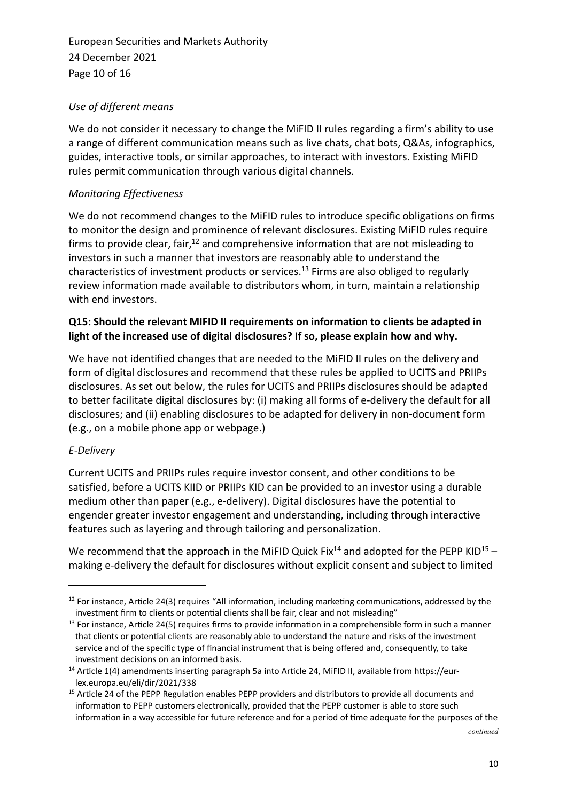European Securities and Markets Authority 24 December 2021 Page 10 of 16

## *Use of different means*

We do not consider it necessary to change the MiFID II rules regarding a firm's ability to use a range of different communication means such as live chats, chat bots, Q&As, infographics, guides, interactive tools, or similar approaches, to interact with investors. Existing MiFID rules permit communication through various digital channels.

## *Monitoring Effectiveness*

We do not recommend changes to the MiFID rules to introduce specific obligations on firms to monitor the design and prominence of relevant disclosures. Existing MiFID rules require firms to provide clear, fair,<sup>12</sup> and comprehensive information that are not misleading to investors in such a manner that investors are reasonably able to understand the characteristics of investment products or services. <sup>13</sup> Firms are also obliged to regularly review information made available to distributors whom, in turn, maintain a relationship with end investors.

#### **Q15: Should the relevant MIFID II requirements on information to clients be adapted in light of the increased use of digital disclosures? If so, please explain how and why.**

We have not identified changes that are needed to the MiFID II rules on the delivery and form of digital disclosures and recommend that these rules be applied to UCITS and PRIIPs disclosures. As set out below, the rules for UCITS and PRIIPs disclosures should be adapted to better facilitate digital disclosures by: (i) making all forms of e-delivery the default for all disclosures; and (ii) enabling disclosures to be adapted for delivery in non-document form (e.g., on a mobile phone app or webpage.)

#### *E-Delivery*

Current UCITS and PRIIPs rules require investor consent, and other conditions to be satisfied, before a UCITS KIID or PRIIPs KID can be provided to an investor using a durable medium other than paper (e.g., e-delivery). Digital disclosures have the potential to engender greater investor engagement and understanding, including through interactive features such as layering and through tailoring and personalization.

We recommend that the approach in the MiFID Quick Fix<sup>14</sup> and adopted for the PEPP KID<sup>15</sup> – making e-delivery the default for disclosures without explicit consent and subject to limited

*continued*

<sup>&</sup>lt;sup>12</sup> For instance, Article 24(3) requires "All information, including marketing communications, addressed by the investment firm to clients or potential clients shall be fair, clear and not misleading"

<sup>&</sup>lt;sup>13</sup> For instance, Article 24(5) requires firms to provide information in a comprehensible form in such a manner that clients or potential clients are reasonably able to understand the nature and risks of the investment service and of the specific type of financial instrument that is being offered and, consequently, to take investment decisions on an informed basis.

<sup>&</sup>lt;sup>14</sup> Article 1(4) amendments inserting paragraph 5a into Article 24, MiFID II, available from https://eurlex.europa.eu/eli/dir/2021/338

<sup>&</sup>lt;sup>15</sup> Article 24 of the PEPP Regulation enables PEPP providers and distributors to provide all documents and information to PEPP customers electronically, provided that the PEPP customer is able to store such information in a way accessible for future reference and for a period of time adequate for the purposes of the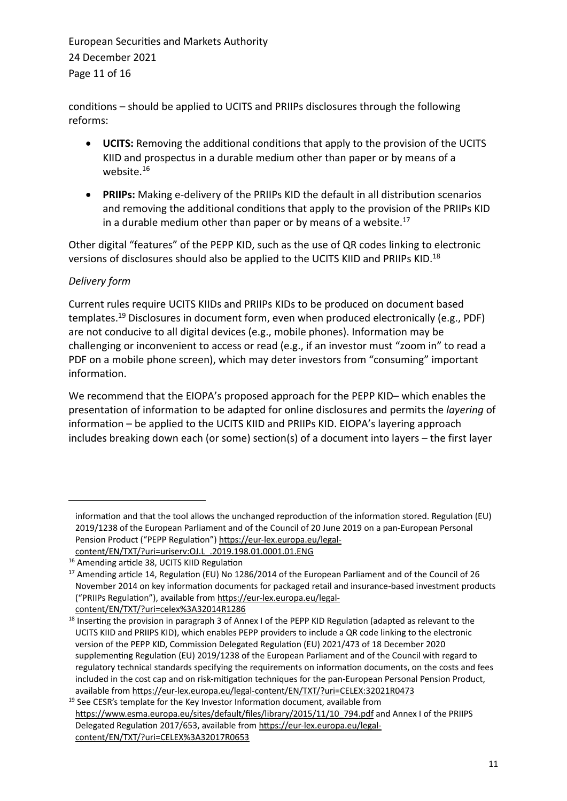European Securities and Markets Authority 24 December 2021 Page 11 of 16

conditions – should be applied to UCITS and PRIIPs disclosures through the following reforms:

- **UCITS:** Removing the additional conditions that apply to the provision of the UCITS KIID and prospectus in a durable medium other than paper or by means of a website.<sup>16</sup>
- **PRIIPs:** Making e-delivery of the PRIIPs KID the default in all distribution scenarios and removing the additional conditions that apply to the provision of the PRIIPs KID in a durable medium other than paper or by means of a website. $17$

Other digital "features" of the PEPP KID, such as the use of QR codes linking to electronic versions of disclosures should also be applied to the UCITS KIID and PRIIPs KID.<sup>18</sup>

## *Delivery form*

Current rules require UCITS KIIDs and PRIIPs KIDs to be produced on document based templates. <sup>19</sup> Disclosures in document form, even when produced electronically (e.g., PDF) are not conducive to all digital devices (e.g., mobile phones). Information may be challenging or inconvenient to access or read (e.g., if an investor must "zoom in" to read a PDF on a mobile phone screen), which may deter investors from "consuming" important information.

We recommend that the EIOPA's proposed approach for the PEPP KID– which enables the presentation of information to be adapted for online disclosures and permits the *layering* of information – be applied to the UCITS KIID and PRIIPs KID. EIOPA's layering approach includes breaking down each (or some) section(s) of a document into layers – the first layer

information and that the tool allows the unchanged reproduction of the information stored. Regulation (EU) 2019/1238 of the European Parliament and of the Council of 20 June 2019 on a pan-European Personal Pension Product ("PEPP Regulation") https://eur-lex.europa.eu/legal-

content/EN/TXT/?uri=uriserv:OJ.L\_.2019.198.01.0001.01.ENG

<sup>16</sup> Amending article 38, UCITS KIID Regulation

<sup>&</sup>lt;sup>17</sup> Amending article 14, Regulation (EU) No 1286/2014 of the European Parliament and of the Council of 26 November 2014 on key information documents for packaged retail and insurance-based investment products ("PRIIPs Regulation"), available from https://eur-lex.europa.eu/legalcontent/EN/TXT/?uri=celex%3A32014R1286

<sup>&</sup>lt;sup>18</sup> Inserting the provision in paragraph 3 of Annex I of the PEPP KID Regulation (adapted as relevant to the UCITS KIID and PRIIPS KID), which enables PEPP providers to include a QR code linking to the electronic version of the PEPP KID, Commission Delegated Regulation (EU) 2021/473 of 18 December 2020 supplementing Regulation (EU) 2019/1238 of the European Parliament and of the Council with regard to regulatory technical standards specifying the requirements on information documents, on the costs and fees included in the cost cap and on risk-mitigation techniques for the pan-European Personal Pension Product, available from https://eur-lex.europa.eu/legal-content/EN/TXT/?uri=CELEX:32021R0473

 $19$  See CESR's template for the Key Investor Information document, available from https://www.esma.europa.eu/sites/default/files/library/2015/11/10\_794.pdf and Annex I of the PRIIPS Delegated Regulation 2017/653, available from https://eur-lex.europa.eu/legalcontent/EN/TXT/?uri=CELEX%3A32017R0653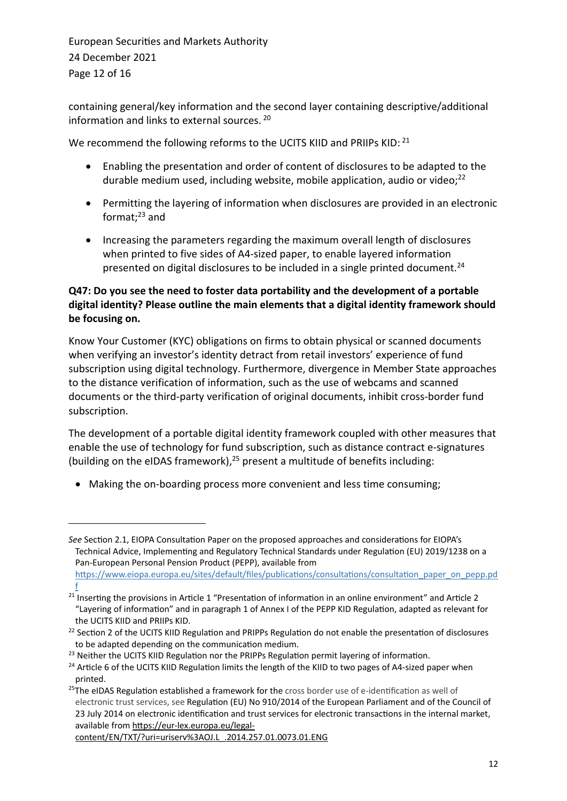European Securities and Markets Authority 24 December 2021 Page 12 of 16

containing general/key information and the second layer containing descriptive/additional information and links to external sources. <sup>20</sup>

We recommend the following reforms to the UCITS KIID and PRIIPs KID: 21

- Enabling the presentation and order of content of disclosures to be adapted to the durable medium used, including website, mobile application, audio or video;<sup>22</sup>
- Permitting the layering of information when disclosures are provided in an electronic format; $^{23}$  and
- Increasing the parameters regarding the maximum overall length of disclosures when printed to five sides of A4-sized paper, to enable layered information presented on digital disclosures to be included in a single printed document.<sup>24</sup>

## **Q47: Do you see the need to foster data portability and the development of a portable digital identity? Please outline the main elements that a digital identity framework should be focusing on.**

Know Your Customer (KYC) obligations on firms to obtain physical or scanned documents when verifying an investor's identity detract from retail investors' experience of fund subscription using digital technology. Furthermore, divergence in Member State approaches to the distance verification of information, such as the use of webcams and scanned documents or the third-party verification of original documents, inhibit cross-border fund subscription.

The development of a portable digital identity framework coupled with other measures that enable the use of technology for fund subscription, such as distance contract e-signatures (building on the eIDAS framework), <sup>25</sup> present a multitude of benefits including:

• Making the on-boarding process more convenient and less time consuming;

*See* Section 2.1, EIOPA Consultation Paper on the proposed approaches and considerations for EIOPA's Technical Advice, Implementing and Regulatory Technical Standards under Regulation (EU) 2019/1238 on a Pan-European Personal Pension Product (PEPP), available from https://www.eiopa.europa.eu/sites/default/files/publications/consultations/consultation\_paper\_on\_pepp.pd

f <sup>21</sup> Inserting the provisions in Article 1 "Presentation of information in an online environment" and Article 2 "Layering of information" and in paragraph 1 of Annex I of the PEPP KID Regulation, adapted as relevant for the UCITS KIID and PRIIPs KID.

<sup>&</sup>lt;sup>22</sup> Section 2 of the UCITS KIID Regulation and PRIPPs Regulation do not enable the presentation of disclosures to be adapted depending on the communication medium.

<sup>&</sup>lt;sup>23</sup> Neither the UCITS KIID Regulation nor the PRIPPs Regulation permit layering of information.

<sup>&</sup>lt;sup>24</sup> Article 6 of the UCITS KIID Regulation limits the length of the KIID to two pages of A4-sized paper when printed.

<sup>&</sup>lt;sup>25</sup>The eIDAS Regulation established a framework for the cross border use of e-identification as well of electronic trust services, see Regulation (EU) No 910/2014 of the European Parliament and of the Council of 23 July 2014 on electronic identification and trust services for electronic transactions in the internal market, available from https://eur-lex.europa.eu/legal-

content/EN/TXT/?uri=uriserv%3AOJ.L\_.2014.257.01.0073.01.ENG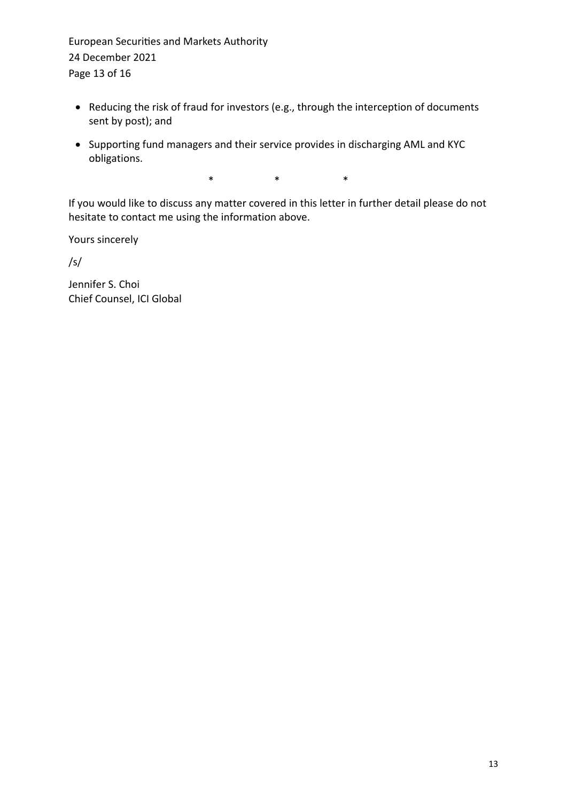European Securities and Markets Authority 24 December 2021 Page 13 of 16

- Reducing the risk of fraud for investors (e.g., through the interception of documents sent by post); and
- Supporting fund managers and their service provides in discharging AML and KYC obligations.

\* \* \*

If you would like to discuss any matter covered in this letter in further detail please do not hesitate to contact me using the information above.

Yours sincerely

/s/

Jennifer S. Choi Chief Counsel, ICI Global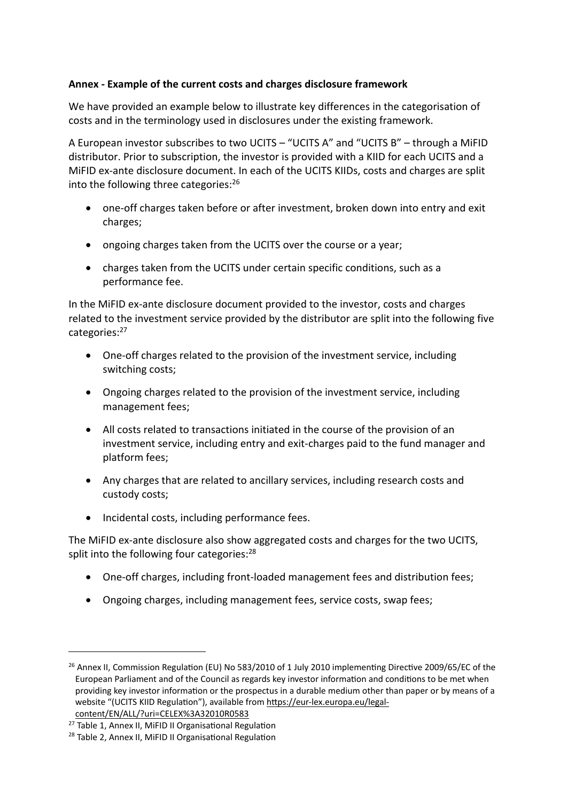#### **Annex - Example of the current costs and charges disclosure framework**

We have provided an example below to illustrate key differences in the categorisation of costs and in the terminology used in disclosures under the existing framework.

A European investor subscribes to two UCITS – "UCITS A" and "UCITS B" – through a MiFID distributor. Prior to subscription, the investor is provided with a KIID for each UCITS and a MiFID ex-ante disclosure document. In each of the UCITS KIIDs, costs and charges are split into the following three categories:<sup>26</sup>

- one-off charges taken before or after investment, broken down into entry and exit charges;
- ongoing charges taken from the UCITS over the course or a year;
- charges taken from the UCITS under certain specific conditions, such as a performance fee.

In the MiFID ex-ante disclosure document provided to the investor, costs and charges related to the investment service provided by the distributor are split into the following five categories:<sup>27</sup>

- One-off charges related to the provision of the investment service, including switching costs;
- Ongoing charges related to the provision of the investment service, including management fees;
- All costs related to transactions initiated in the course of the provision of an investment service, including entry and exit-charges paid to the fund manager and platform fees;
- Any charges that are related to ancillary services, including research costs and custody costs;
- Incidental costs, including performance fees.

The MiFID ex-ante disclosure also show aggregated costs and charges for the two UCITS, split into the following four categories:<sup>28</sup>

- One-off charges, including front-loaded management fees and distribution fees;
- Ongoing charges, including management fees, service costs, swap fees;

<sup>&</sup>lt;sup>26</sup> Annex II, Commission Regulation (EU) No 583/2010 of 1 July 2010 implementing Directive 2009/65/EC of the European Parliament and of the Council as regards key investor information and conditions to be met when providing key investor information or the prospectus in a durable medium other than paper or by means of a website "(UCITS KIID Regulation"), available from https://eur-lex.europa.eu/legalcontent/EN/ALL/?uri=CELEX%3A32010R0583

<sup>&</sup>lt;sup>27</sup> Table 1, Annex II, MiFID II Organisational Regulation

<sup>&</sup>lt;sup>28</sup> Table 2, Annex II, MiFID II Organisational Regulation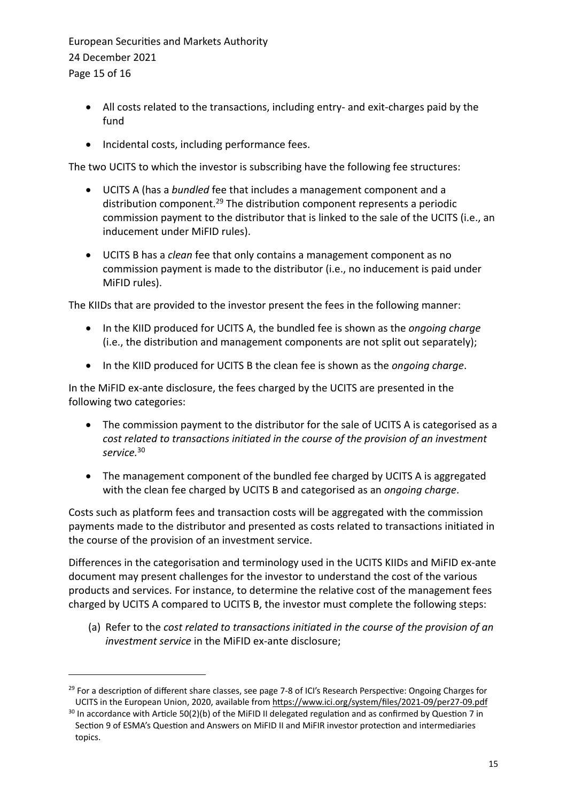European Securities and Markets Authority 24 December 2021 Page 15 of 16

- All costs related to the transactions, including entry- and exit-charges paid by the fund
- Incidental costs, including performance fees.

The two UCITS to which the investor is subscribing have the following fee structures:

- UCITS A (has a *bundled* fee that includes a management component and a distribution component.<sup>29</sup> The distribution component represents a periodic commission payment to the distributor that is linked to the sale of the UCITS (i.e., an inducement under MiFID rules).
- UCITS B has a *clean* fee that only contains a management component as no commission payment is made to the distributor (i.e., no inducement is paid under MiFID rules).

The KIIDs that are provided to the investor present the fees in the following manner:

- In the KIID produced for UCITS A, the bundled fee is shown as the *ongoing charge* (i.e., the distribution and management components are not split out separately);
- In the KIID produced for UCITS B the clean fee is shown as the *ongoing charge*.

In the MiFID ex-ante disclosure, the fees charged by the UCITS are presented in the following two categories:

- The commission payment to the distributor for the sale of UCITS A is categorised as a *cost related to transactions initiated in the course of the provision of an investment service.*<sup>30</sup>
- The management component of the bundled fee charged by UCITS A is aggregated with the clean fee charged by UCITS B and categorised as an *ongoing charge*.

Costs such as platform fees and transaction costs will be aggregated with the commission payments made to the distributor and presented as costs related to transactions initiated in the course of the provision of an investment service.

Differences in the categorisation and terminology used in the UCITS KIIDs and MiFID ex-ante document may present challenges for the investor to understand the cost of the various products and services. For instance, to determine the relative cost of the management fees charged by UCITS A compared to UCITS B, the investor must complete the following steps:

(a) Refer to the *cost related to transactions initiated in the course of the provision of an investment service* in the MiFID ex-ante disclosure;

<sup>&</sup>lt;sup>29</sup> For a description of different share classes, see page 7-8 of ICI's Research Perspective: Ongoing Charges for UCITS in the European Union, 2020, available from https://www.ici.org/system/files/2021-09/per27-09.pdf

<sup>&</sup>lt;sup>30</sup> In accordance with Article 50(2)(b) of the MiFID II delegated regulation and as confirmed by Question 7 in Section 9 of ESMA's Question and Answers on MiFID II and MiFIR investor protection and intermediaries topics.